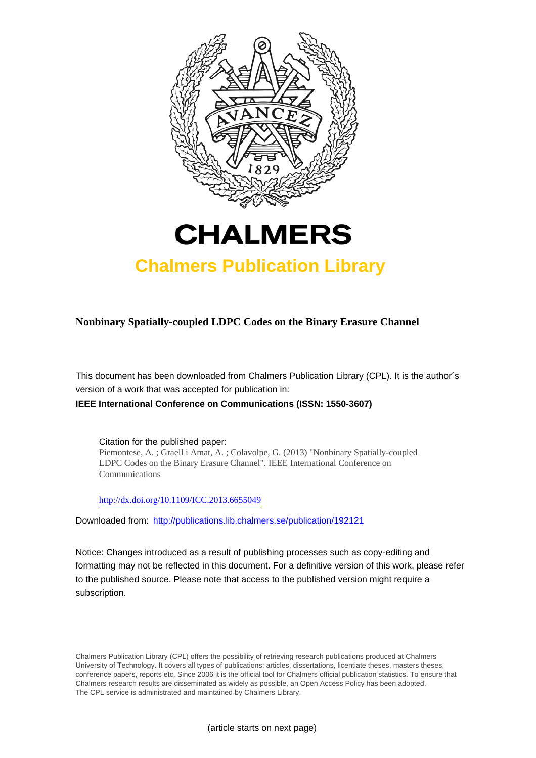



# **Chalmers Publication Library**

# **Nonbinary Spatially-coupled LDPC Codes on the Binary Erasure Channel**

This document has been downloaded from Chalmers Publication Library (CPL). It is the author´s version of a work that was accepted for publication in:

**IEEE International Conference on Communications (ISSN: 1550-3607)**

Citation for the published paper: Piemontese, A. ; Graell i Amat, A. ; Colavolpe, G. (2013) "Nonbinary Spatially-coupled LDPC Codes on the Binary Erasure Channel". IEEE International Conference on Communications

<http://dx.doi.org/10.1109/ICC.2013.6655049>

Downloaded from: <http://publications.lib.chalmers.se/publication/192121>

Notice: Changes introduced as a result of publishing processes such as copy-editing and formatting may not be reflected in this document. For a definitive version of this work, please refer to the published source. Please note that access to the published version might require a subscription.

Chalmers Publication Library (CPL) offers the possibility of retrieving research publications produced at Chalmers University of Technology. It covers all types of publications: articles, dissertations, licentiate theses, masters theses, conference papers, reports etc. Since 2006 it is the official tool for Chalmers official publication statistics. To ensure that Chalmers research results are disseminated as widely as possible, an Open Access Policy has been adopted. The CPL service is administrated and maintained by Chalmers Library.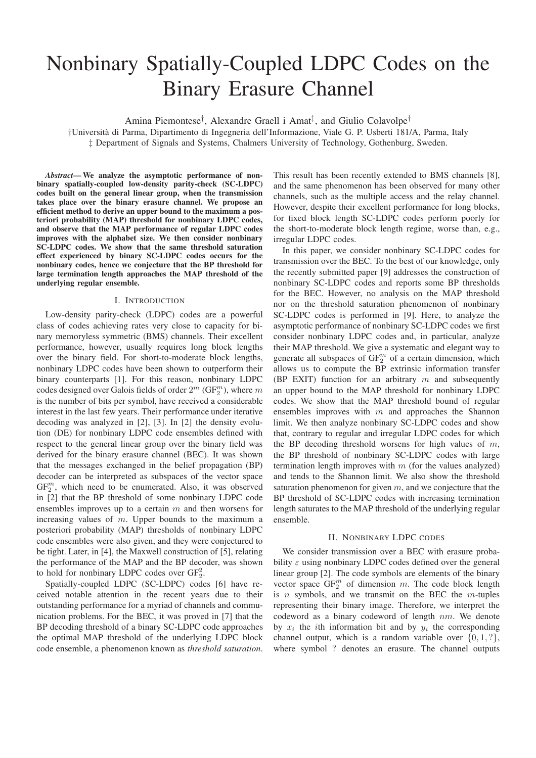# Nonbinary Spatially-Coupled LDPC Codes on the Binary Erasure Channel

Amina Piemontese<sup>†</sup>, Alexandre Graell i Amat<sup>‡</sup>, and Giulio Colavolpe<sup>†</sup>

†Universit`a di Parma, Dipartimento di Ingegneria dell'Informazione, Viale G. P. Usberti 181/A, Parma, Italy ‡ Department of Signals and Systems, Chalmers University of Technology, Gothenburg, Sweden.

*Abstract*— We analyze the asymptotic performance of nonbinary spatially-coupled low-density parity-check (SC-LDPC) codes built on the general linear group, when the transmission takes place over the binary erasure channel. We propose an efficient method to derive an upper bound to the maximum a posteriori probability (MAP) threshold for nonbinary LDPC codes, and observe that the MAP performance of regular LDPC codes improves with the alphabet size. We then consider nonbinary SC-LDPC codes. We show that the same threshold saturation effect experienced by binary SC-LDPC codes occurs for the nonbinary codes, hence we conjecture that the BP threshold for large termination length approaches the MAP threshold of the underlying regular ensemble.

# I. INTRODUCTION

Low-density parity-check (LDPC) codes are a powerful class of codes achieving rates very close to capacity for binary memoryless symmetric (BMS) channels. Their excellent performance, however, usually requires long block lengths over the binary field. For short-to-moderate block lengths, nonbinary LDPC codes have been shown to outperform their binary counterparts [1]. For this reason, nonbinary LDPC codes designed over Galois fields of order  $2^m$  (GF $_2^m$ ), where  $m$ is the number of bits per symbol, have received a considerable interest in the last few years. Their performance under iterative decoding was analyzed in [2], [3]. In [2] the density evolution (DE) for nonbinary LDPC code ensembles defined with respect to the general linear group over the binary field was derived for the binary erasure channel (BEC). It was shown that the messages exchanged in the belief propagation (BP) decoder can be interpreted as subspaces of the vector space  $GF_2^m$ , which need to be enumerated. Also, it was observed in [2] that the BP threshold of some nonbinary LDPC code ensembles improves up to a certain  $m$  and then worsens for increasing values of m. Upper bounds to the maximum a posteriori probability (MAP) thresholds of nonbinary LDPC code ensembles were also given, and they were conjectured to be tight. Later, in [4], the Maxwell construction of [5], relating the performance of the MAP and the BP decoder, was shown to hold for nonbinary LDPC codes over  $GF_2^2$ .

Spatially-coupled LDPC (SC-LDPC) codes [6] have received notable attention in the recent years due to their outstanding performance for a myriad of channels and communication problems. For the BEC, it was proved in [7] that the BP decoding threshold of a binary SC-LDPC code approaches the optimal MAP threshold of the underlying LDPC block code ensemble, a phenomenon known as *threshold saturation*.

This result has been recently extended to BMS channels [8], and the same phenomenon has been observed for many other channels, such as the multiple access and the relay channel. However, despite their excellent performance for long blocks, for fixed block length SC-LDPC codes perform poorly for the short-to-moderate block length regime, worse than, e.g., irregular LDPC codes.

In this paper, we consider nonbinary SC-LDPC codes for transmission over the BEC. To the best of our knowledge, only the recently submitted paper [9] addresses the construction of nonbinary SC-LDPC codes and reports some BP thresholds for the BEC. However, no analysis on the MAP threshold nor on the threshold saturation phenomenon of nonbinary SC-LDPC codes is performed in [9]. Here, to analyze the asymptotic performance of nonbinary SC-LDPC codes we first consider nonbinary LDPC codes and, in particular, analyze their MAP threshold. We give a systematic and elegant way to generate all subspaces of  $GF_2^m$  of a certain dimension, which allows us to compute the BP extrinsic information transfer (BP EXIT) function for an arbitrary  $m$  and subsequently an upper bound to the MAP threshold for nonbinary LDPC codes. We show that the MAP threshold bound of regular ensembles improves with  $m$  and approaches the Shannon limit. We then analyze nonbinary SC-LDPC codes and show that, contrary to regular and irregular LDPC codes for which the BP decoding threshold worsens for high values of  $m$ , the BP threshold of nonbinary SC-LDPC codes with large termination length improves with  $m$  (for the values analyzed) and tends to the Shannon limit. We also show the threshold saturation phenomenon for given  $m$ , and we conjecture that the BP threshold of SC-LDPC codes with increasing termination length saturates to the MAP threshold of the underlying regular ensemble.

#### II. NONBINARY LDPC CODES

We consider transmission over a BEC with erasure probability  $\varepsilon$  using nonbinary LDPC codes defined over the general linear group [2]. The code symbols are elements of the binary vector space  $GF_2^m$  of dimension m. The code block length is  $n$  symbols, and we transmit on the BEC the  $m$ -tuples representing their binary image. Therefore, we interpret the codeword as a binary codeword of length  $nm$ . We denote by  $x_i$  the *i*th information bit and by  $y_i$  the corresponding channel output, which is a random variable over  $\{0, 1, ?\}$ , where symbol ? denotes an erasure. The channel outputs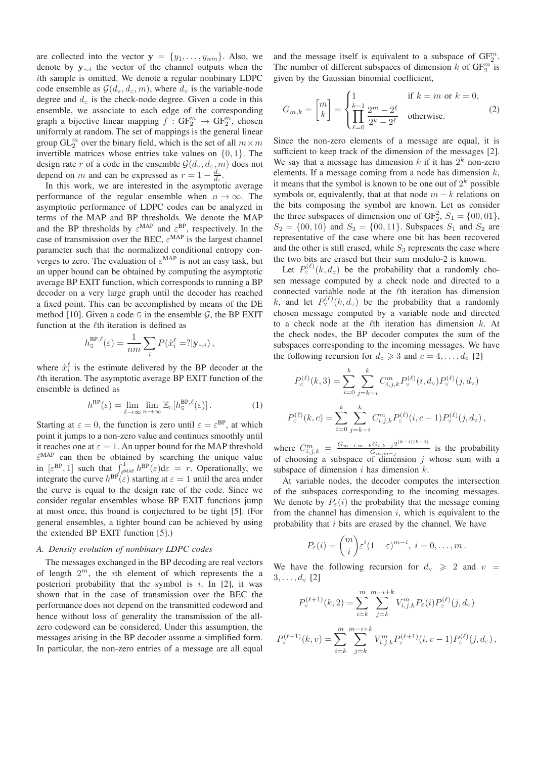are collected into the vector  $y = \{y_1, \ldots, y_{nm}\}\$ . Also, we denote by  $y_{\sim i}$  the vector of the channel outputs when the ith sample is omitted. We denote a regular nonbinary LDPC code ensemble as  $\mathcal{G}(d_{v}, d_{c}, m)$ , where  $d_{v}$  is the variable-node degree and  $d_c$  is the check-node degree. Given a code in this ensemble, we associate to each edge of the corresponding graph a bijective linear mapping  $f: GF_2^m \to GF_2^m$ , chosen uniformly at random. The set of mappings is the general linear group  $GL_2^m$  over the binary field, which is the set of all  $m \times m$ invertible matrices whose entries take values on  $\{0, 1\}$ . The design rate r of a code in the ensemble  $\mathcal{G}(d_{v}, d_{c}, m)$  does not depend on m and can be expressed as  $r = 1 - \frac{1}{r}$  $d_{\mathrm{v}}$ .

Figure on *th* and can be expressed as  $t = 1$  d<sub>c</sub>.<br>In this work, we are interested in the asymptotic average performance of the regular ensemble when  $n \to \infty$ . The asymptotic performance of LDPC codes can be analyzed in terms of the MAP and BP thresholds. We denote the MAP and the BP thresholds by  $\varepsilon^{MAP}$  and  $\varepsilon^{BP}$ , respectively. In the case of transmission over the BEC,  $\varepsilon^{MAP}$  is the largest channel parameter such that the normalized conditional entropy converges to zero. The evaluation of  $\varepsilon^{MAP}$  is not an easy task, but an upper bound can be obtained by computing the asymptotic average BP EXIT function, which corresponds to running a BP decoder on a very large graph until the decoder has reached a fixed point. This can be accomplished by means of the DE method [10]. Given a code G in the ensemble  $G$ , the BP EXIT function at the  $\ell$ th iteration is defined as

$$
h_{\mathbf{G}}^{\text{BP},\ell}(\varepsilon) = \frac{1}{nm} \sum_{i} P(\hat{x}_i^{\ell} = ? | \mathbf{y}_{\sim i}),
$$

where  $\hat{x}_i^{\ell}$  is the estimate delivered by the BP decoder at the  $\ell$ th iteration. The asymptotic average BP EXIT function of the ensemble is defined as

$$
h^{\rm BP}(\varepsilon) = \lim_{\ell \to \infty} \lim_{n \to \infty} \mathbb{E}_{\mathbb{G}}[h_{\mathbb{G}}^{\rm BP,\ell}(\varepsilon)]. \tag{1}
$$

Starting at  $\varepsilon = 0$ , the function is zero until  $\varepsilon = \varepsilon^{BP}$ , at which point it jumps to a non-zero value and continues smoothly until it reaches one at  $\varepsilon = 1$ . An upper bound for the MAP threshold  $\bar{\varepsilon}^{MAP}$  can then be obtained by searching the unique value in  $[\varepsilon^{BP}, 1]$  such that  $\int_{\varepsilon^{MAP}}^{1} h^{BP}(\varepsilon) d\varepsilon = r$ . Operationally, we integrate the curve  $h^{\text{BP}}(\varepsilon)$  starting at  $\varepsilon = 1$  until the area under the curve is equal to the design rate of the code. Since we consider regular ensembles whose BP EXIT functions jump at most once, this bound is conjectured to be tight [5]. (For general ensembles, a tighter bound can be achieved by using the extended BP EXIT function [5].)

# *A. Density evolution of nonbinary LDPC codes*

The messages exchanged in the BP decoding are real vectors of length  $2^m$ , the *i*th element of which represents the a posteriori probability that the symbol is  $i$ . In [2], it was shown that in the case of transmission over the BEC the performance does not depend on the transmitted codeword and hence without loss of generality the transmission of the allzero codeword can be considered. Under this assumption, the messages arising in the BP decoder assume a simplified form. In particular, the non-zero entries of a message are all equal

and the message itself is equivalent to a subspace of  $GF_2^m$ . The number of different subspaces of dimension k of  $GF_2^m$  is given by the Gaussian binomial coefficient,

$$
G_{m,k} = \begin{bmatrix} m \\ k \end{bmatrix} = \begin{cases} 1 & \text{if } k = m \text{ or } k = 0, \\ \prod_{\ell=0}^{k-1} \frac{2^m - 2^{\ell}}{2^k - 2^{\ell}} & \text{otherwise.} \end{cases} \tag{2}
$$

Since the non-zero elements of a message are equal, it is sufficient to keep track of the dimension of the messages [2]. We say that a message has dimension  $k$  if it has  $2^k$  non-zero elements. If a message coming from a node has dimension  $k$ , it means that the symbol is known to be one out of  $2^k$  possible symbols or, equivalently, that at that node  $m - k$  relations on the bits composing the symbol are known. Let us consider the three subspaces of dimension one of  $GF_2^2$ ,  $S_1 = \{00, 01\}$ ,  $S_2 = \{00, 10\}$  and  $S_3 = \{00, 11\}$ . Subspaces  $S_1$  and  $S_2$  are representative of the case where one bit has been recovered and the other is still erased, while  $S_3$  represents the case where the two bits are erased but their sum modulo-2 is known.

Let  $P_{c}^{(\ell)}(k, d_c)$  be the probability that a randomly chosen message computed by a check node and directed to a connected variable node at the  $\ell$ th iteration has dimension k, and let  $P_{\rm v}^{(\ell)}(k, d_{\rm v})$  be the probability that a randomly chosen message computed by a variable node and directed to a check node at the  $\ell$ th iteration has dimension  $k$ . At the check nodes, the BP decoder computes the sum of the subspaces corresponding to the incoming messages. We have the following recursion for  $d_c \ge 3$  and  $c = 4, \ldots, d_c$  [2]

$$
P_c^{(\ell)}(k,3) = \sum_{i=0}^k \sum_{j=k-i}^k C_{i,j,k}^m P_c^{(\ell)}(i,d_v) P_c^{(\ell)}(j,d_v)
$$
  

$$
P_c^{(\ell)}(k,c) = \sum_{i=0}^k \sum_{j=k-i}^k C_{i,j,k}^m P_c^{(\ell)}(i,c-1) P_c^{(\ell)}(j,d_v),
$$

where  $C_{i,j,k}^m = \frac{G_{m-i,m-k}G_{i,k-j}2^{(k-i)(k-j)}}{G_{m,m-j}}$  $\frac{G_{i,k-j}z}{G_{m,m-j}}$  is the probability of choosing a subspace of dimension  $j$  whose sum with a subspace of dimension  $i$  has dimension  $k$ .

At variable nodes, the decoder computes the intersection of the subspaces corresponding to the incoming messages. We denote by  $P_{\varepsilon}(i)$  the probability that the message coming from the channel has dimension  $i$ , which is equivalent to the probability that  $i$  bits are erased by the channel. We have

$$
P_{\varepsilon}(i) = {m \choose i} \varepsilon^{i} (1-\varepsilon)^{m-i}, \ i = 0, \ldots, m.
$$

We have the following recursion for  $d_v \ge 2$  and  $v =$  $3, \ldots, d_{v} [2]$ 

$$
P_v^{(\ell+1)}(k,2) = \sum_{i=k}^m \sum_{j=k}^{m-i+k} V_{i,j,k}^m P_{\varepsilon}(i) P_c^{(\ell)}(j,d_c)
$$
  

$$
P_v^{(\ell+1)}(k,v) = \sum_{i=k}^m \sum_{j=k}^{m-i+k} V_{i,j,k}^m P_v^{(\ell+1)}(i,v-1) P_c^{(\ell)}(j,d_c),
$$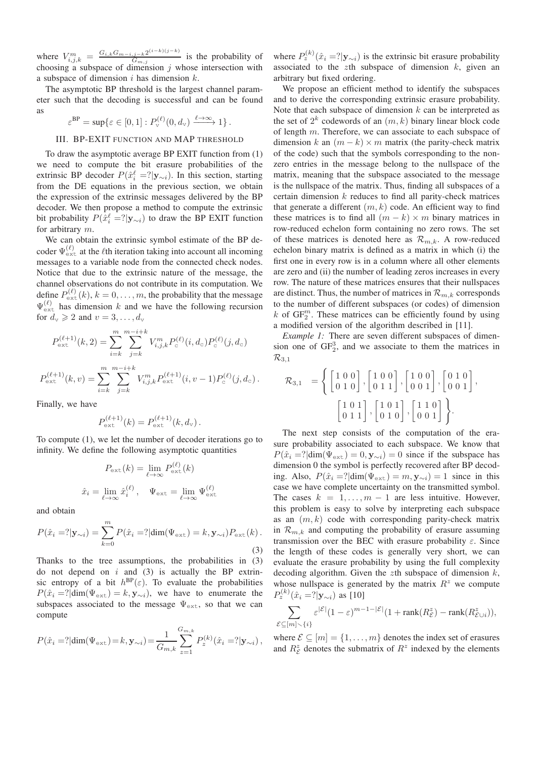where  $V_{i,j,k}^{m} = \frac{G_{i,k}G_{m-i,j-k}2^{(i-k)(j-k)}}{G_{m,i}}$  $\frac{G_{m,j}}{G_{m,j}}$  is the probability of choosing a subspace of dimension  $j$  whose intersection with a subspace of dimension i has dimension  $k$ .

The asymptotic BP threshold is the largest channel parameter such that the decoding is successful and can be found as

 $\varepsilon^{\text{BP}} = \sup \{ \varepsilon \in [0,1] : P_{\mathrm{v}}^{(\ell)}(0,d_{\mathrm{v}}) \xrightarrow{\ell \to \infty} 1 \}.$ 

# III. BP-EXIT FUNCTION AND MAP THRESHOLD

To draw the asymptotic average BP EXIT function from (1) we need to compute the bit erasure probabilities of the extrinsic BP decoder  $P(\hat{x}_{i}^{\ell} = ? | \mathbf{y}_{\sim i})$ . In this section, starting from the DE equations in the previous section, we obtain the expression of the extrinsic messages delivered by the BP decoder. We then propose a method to compute the extrinsic bit probability  $P(\hat{x}_i^{\ell} = ? | \mathbf{y}_{\sim i})$  to draw the BP EXIT function for arbitrary m.

We can obtain the extrinsic symbol estimate of the BP decoder  $\Psi_{\text{ext}}^{(\ell)}$  at the  $\ell$ th iteration taking into account all incoming messages to a variable node from the connected check nodes. Notice that due to the extrinsic nature of the message, the channel observations do not contribute in its computation. We define  $P_{\text{ext}}^{(\ell)}(k)$ ,  $k = 0, \ldots, m$ , the probability that the message  $\Psi_{\text{ext}}^{(\ell)}$  has dimension k and we have the following recursion for  $d_{v} \geqslant 2$  and  $v = 3, \ldots, d_{v}$ 

$$
P_{\text{ext}}^{(\ell+1)}(k,2) = \sum_{i=k}^{m} \sum_{j=k}^{m-i+k} V_{i,j,k}^{m} P_{\text{c}}^{(\ell)}(i,d_{\text{c}}) P_{\text{c}}^{(\ell)}(j,d_{\text{c}})
$$

$$
P_{\text{ext}}^{(\ell+1)}(k,v) = \sum_{i=k}^{m} \sum_{j=k}^{m-i+k} V_{i,j,k}^{m} P_{\text{ext}}^{(\ell+1)}(i,v-1) P_{\text{c}}^{(\ell)}(j,d_{\text{c}}).
$$

Finally, we have

$$
P_{\text{ext}}^{(\ell+1)}(k) = P_{\text{ext}}^{(\ell+1)}(k, d_{v}).
$$

To compute (1), we let the number of decoder iterations go to infinity. We define the following asymptotic quantities

$$
P_{\text{ext}}(k) = \lim_{\ell \to \infty} P_{\text{ext}}^{(\ell)}(k)
$$

$$
\hat{x}_i = \lim_{\ell \to \infty} \hat{x}_i^{(\ell)}, \quad \Psi_{\text{ext}} = \lim_{\ell \to \infty} \Psi_{\text{ext}}^{(\ell)}
$$

and obtain

$$
P(\hat{x}_i = ? | \mathbf{y}_{\sim i}) = \sum_{k=0}^{m} P(\hat{x}_i = ? | \dim(\Psi_{\text{ext}}) = k, \mathbf{y}_{\sim i}) P_{\text{ext}}(k).
$$
\n(3)

Thanks to the tree assumptions, the probabilities in (3) do not depend on  $i$  and (3) is actually the BP extrinsic entropy of a bit  $h^{\text{BP}}(\varepsilon)$ . To evaluate the probabilities  $P(\hat{x}_i = ? | \text{dim}(\Psi_{\text{ext}}) = k, \mathbf{y}_{\sim i}),$  we have to enumerate the subspaces associated to the message  $\Psi_{\text{ext}}$ , so that we can compute

$$
P(\hat{x}_i = ? | \dim(\Psi_{\text{ext}}) = k, \mathbf{y}_{\sim i}) = \frac{1}{G_{m,k}} \sum_{z=1}^{G_{m,k}} P_z^{(k)}(\hat{x}_i = ? | \mathbf{y}_{\sim i}),
$$

where  $P_z^{(k)}(\hat{x}_i = ? | \mathbf{y}_{\sim i})$  is the extrinsic bit erasure probability associated to the zth subspace of dimension  $k$ , given an arbitrary but fixed ordering.

We propose an efficient method to identify the subspaces and to derive the corresponding extrinsic erasure probability. Note that each subspace of dimension  $k$  can be interpreted as the set of  $2^k$  codewords of an  $(m, k)$  binary linear block code of length  $m$ . Therefore, we can associate to each subspace of dimension k an  $(m - k) \times m$  matrix (the parity-check matrix of the code) such that the symbols corresponding to the nonzero entries in the message belong to the nullspace of the matrix, meaning that the subspace associated to the message is the nullspace of the matrix. Thus, finding all subspaces of a certain dimension  $k$  reduces to find all parity-check matrices that generate a different  $(m, k)$  code. An efficient way to find these matrices is to find all  $(m - k) \times m$  binary matrices in row-reduced echelon form containing no zero rows. The set of these matrices is denoted here as  $\mathcal{R}_{m,k}$ . A row-reduced echelon binary matrix is defined as a matrix in which (i) the first one in every row is in a column where all other elements are zero and (ii) the number of leading zeros increases in every row. The nature of these matrices ensures that their nullspaces are distinct. Thus, the number of matrices in  $\mathcal{R}_{m,k}$  corresponds to the number of different subspaces (or codes) of dimension  $k$  of  $GF_2^m$ . These matrices can be efficiently found by using a modified version of the algorithm described in [11].

*Example 1:* There are seven different subspaces of dimension one of  $GF_2^3$ , and we associate to them the matrices in  $\mathcal{R}_{3,1}$ 

$$
\mathcal{R}_{3,1} = \left\{ \begin{bmatrix} 1 & 0 & 0 \\ 0 & 1 & 0 \end{bmatrix}, \begin{bmatrix} 1 & 0 & 0 \\ 0 & 1 & 1 \end{bmatrix}, \begin{bmatrix} 1 & 0 & 0 \\ 0 & 0 & 1 \end{bmatrix}, \begin{bmatrix} 0 & 1 & 0 \\ 0 & 0 & 1 \end{bmatrix}, \begin{bmatrix} 1 & 0 & 1 \\ 0 & 1 & 1 \end{bmatrix}, \begin{bmatrix} 1 & 0 & 1 \\ 0 & 1 & 0 \end{bmatrix}, \begin{bmatrix} 1 & 1 & 0 \\ 0 & 0 & 1 \end{bmatrix} \right\}.
$$

The next step consists of the computation of the erasure probability associated to each subspace. We know that  $P(\hat{x}_i = ? | \text{dim}(\Psi_{\text{ext}}) = 0, \mathbf{y}_{\sim i}) = 0$  since if the subspace has dimension 0 the symbol is perfectly recovered after BP decoding. Also,  $P(\hat{x}_i = ? | \dim(\Psi_{ext}) = m, \mathbf{y}_{\sim i}) = 1$  since in this case we have complete uncertainty on the transmitted symbol. The cases  $k = 1, \ldots, m - 1$  are less intuitive. However, this problem is easy to solve by interpreting each subspace as an  $(m, k)$  code with corresponding parity-check matrix in  $\mathcal{R}_{m,k}$  and computing the probability of erasure assuming transmission over the BEC with erasure probability  $\varepsilon$ . Since the length of these codes is generally very short, we can evaluate the erasure probability by using the full complexity decoding algorithm. Given the zth subspace of dimension  $k$ , whose nullspace is generated by the matrix  $R^z$  we compute  $P_{z}^{(k)}(\hat{x}_{i} = ?|\mathbf{y}_{\sim i})$  as [10]

$$
\sum_{\mathcal{E}\subseteq[m]\smallsetminus\{i\}}\varepsilon^{|\mathcal{E}|}(1-\varepsilon)^{m-1-|\mathcal{E}|}(1+\mathrm{rank}(R_{\mathcal{E}}^z)-\mathrm{rank}(R_{\mathcal{E}\cup i}^z)),
$$

where  $\mathcal{E} \subseteq [m] = \{1, \ldots, m\}$  denotes the index set of erasures and  $R_{\mathcal{E}}^z$  denotes the submatrix of  $R^z$  indexed by the elements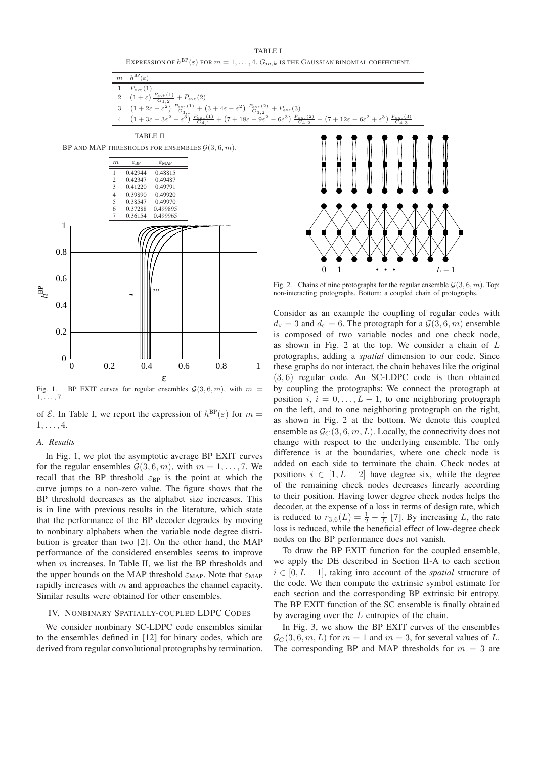TABLE I EXPRESSION OF  $h^{\text{BP}}(\varepsilon)$  for  $m=1,\ldots,4.$   $G_{m,k}$  is the Gaussian binomial coefficient.



Fig. 2. Chains of nine protographs for the regular ensemble  $\mathcal{G}(3,6,m)$ . Top: non-interacting protographs. Bottom: a coupled chain of protographs.

Consider as an example the coupling of regular codes with  $d_v = 3$  and  $d_c = 6$ . The protograph for a  $\mathcal{G}(3,6,m)$  ensemble is composed of two variable nodes and one check node, as shown in Fig. 2 at the top. We consider a chain of L protographs, adding a *spatial* dimension to our code. Since these graphs do not interact, the chain behaves like the original (3, 6) regular code. An SC-LDPC code is then obtained by coupling the protographs: We connect the protograph at position  $i, i = 0, \ldots, L - 1$ , to one neighboring protograph on the left, and to one neighboring protograph on the right, as shown in Fig. 2 at the bottom. We denote this coupled ensemble as  $\mathcal{G}_C(3,6,m,L)$ . Locally, the connectivity does not change with respect to the underlying ensemble. The only difference is at the boundaries, where one check node is added on each side to terminate the chain. Check nodes at positions  $i \in [1, L - 2]$  have degree six, while the degree of the remaining check nodes decreases linearly according to their position. Having lower degree check nodes helps the decoder, at the expense of a loss in terms of design rate, which is reduced to  $r_{3,6}(L) = \frac{1}{2} - \frac{1}{L}$  [7]. By increasing L, the rate loss is reduced, while the beneficial effect of low-degree check nodes on the BP performance does not vanish.

To draw the BP EXIT function for the coupled ensemble, we apply the DE described in Section II-A to each section  $i \in [0, L - 1]$ , taking into account of the *spatial* structure of the code. We then compute the extrinsic symbol estimate for each section and the corresponding BP extrinsic bit entropy. The BP EXIT function of the SC ensemble is finally obtained by averaging over the  $L$  entropies of the chain.

In Fig. 3, we show the BP EXIT curves of the ensembles  $\mathcal{G}_C(3,6,m,L)$  for  $m=1$  and  $m=3$ , for several values of L. The corresponding BP and MAP thresholds for  $m = 3$  are

ε Fig. 1. BP EXIT curves for regular ensembles  $G(3, 6, m)$ , with  $m =$ 

0 0.2 0.4 0.6 0.8 1

m

of  $\mathcal{E}$ . In Table I, we report the expression of  $h^{\text{BP}}(\varepsilon)$  for  $m =$  $1, \ldots, 4.$ 

# *A. Results*

 $1, \ldots, 7.$ 

0

0.2

0.4

 $h^{\rm BP}$ 

0.6

0.8

1

In Fig. 1, we plot the asymptotic average BP EXIT curves for the regular ensembles  $\mathcal{G}(3, 6, m)$ , with  $m = 1, \ldots, 7$ . We recall that the BP threshold  $\varepsilon_{\rm BP}$  is the point at which the curve jumps to a non-zero value. The figure shows that the BP threshold decreases as the alphabet size increases. This is in line with previous results in the literature, which state that the performance of the BP decoder degrades by moving to nonbinary alphabets when the variable node degree distribution is greater than two [2]. On the other hand, the MAP performance of the considered ensembles seems to improve when m increases. In Table II, we list the BP thresholds and the upper bounds on the MAP threshold  $\bar{\varepsilon}_{MAP}$ . Note that  $\bar{\varepsilon}_{MAP}$ rapidly increases with  $m$  and approaches the channel capacity. Similar results were obtained for other ensembles.

# IV. NONBINARY SPATIALLY-COUPLED LDPC CODES

We consider nonbinary SC-LDPC code ensembles similar to the ensembles defined in [12] for binary codes, which are derived from regular convolutional protographs by termination.